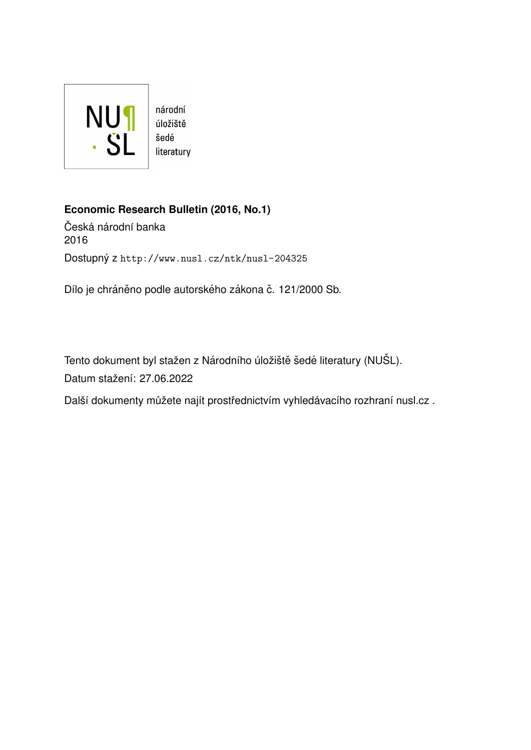

## **Economic Research Bulletin (2016, No.1)**

Česká národní banka 2016 Dostupný z <http://www.nusl.cz/ntk/nusl-204325>

Dílo je chráněno podle autorského zákona č. 121/2000 Sb.

Tento dokument byl stažen z Národního úložiště šedé literatury (NUŠL). Datum stažení: 27.06.2022

Další dokumenty můžete najít prostřednictvím vyhledávacího rozhraní [nusl.cz](http://www.nusl.cz) .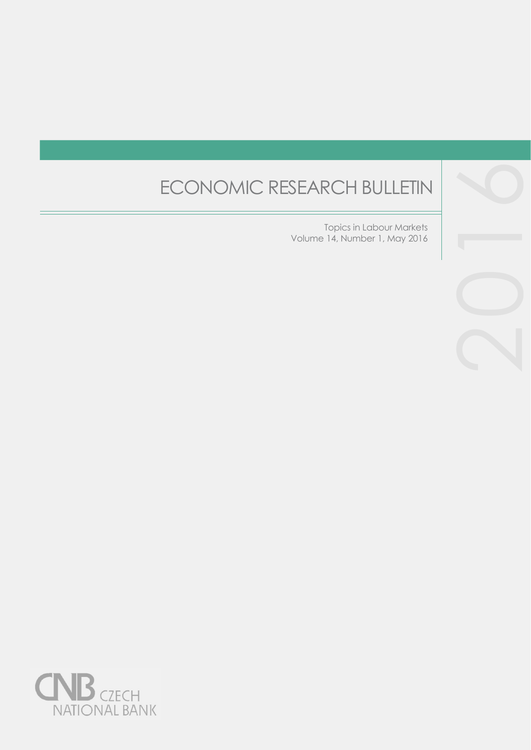# ECONOMIC RESEARCH BULLETIN

Topics in Labour Markets Volume 14, Number 1, May 2016



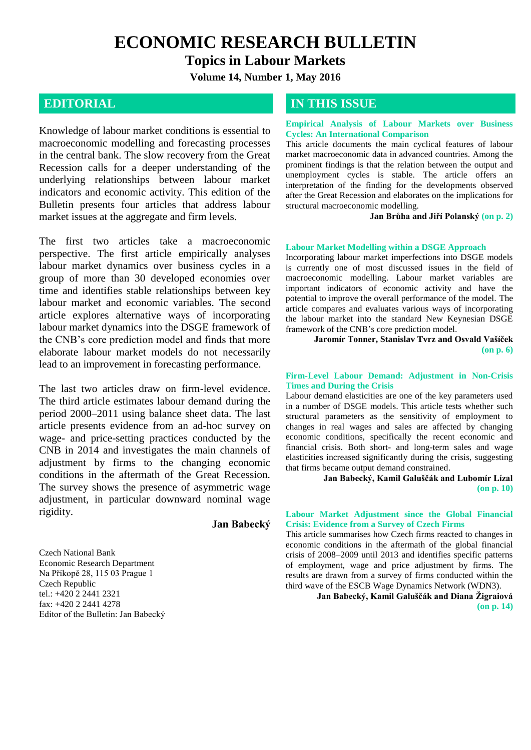**ECONOMIC RESEARCH BULLETIN**

**Topics in Labour Markets**

**Volume 14, Number 1, May 2016**

Knowledge of labour market conditions is essential to macroeconomic modelling and forecasting processes in the central bank. The slow recovery from the Great Recession calls for a deeper understanding of the underlying relationships between labour market indicators and economic activity. This edition of the Bulletin presents four articles that address labour market issues at the aggregate and firm levels.

The first two articles take a macroeconomic perspective. The first article empirically analyses labour market dynamics over business cycles in a group of more than 30 developed economies over time and identifies stable relationships between key labour market and economic variables. The second article explores alternative ways of incorporating labour market dynamics into the DSGE framework of the CNB's core prediction model and finds that more elaborate labour market models do not necessarily lead to an improvement in forecasting performance.

The last two articles draw on firm-level evidence. The third article estimates labour demand during the period 2000–2011 using balance sheet data. The last article presents evidence from an ad-hoc survey on wage- and price-setting practices conducted by the CNB in 2014 and investigates the main channels of adjustment by firms to the changing economic conditions in the aftermath of the Great Recession. The survey shows the presence of asymmetric wage adjustment, in particular downward nominal wage rigidity.

**Jan Babecký**

Czech National Bank Economic Research Department Na Příkopě 28, 115 03 Prague 1 Czech Republic tel.: +420 2 2441 2321 fax: +420 2 2441 4278 Editor of the Bulletin: Jan Babecký

### **EDITORIAL <b>IN THIS ISSUE**

#### **Empirical Analysis of Labour Markets over Business Cycles: An International Comparison**

This article documents the main cyclical features of labour market macroeconomic data in advanced countries. Among the prominent findings is that the relation between the output and unemployment cycles is stable. The article offers an interpretation of the finding for the developments observed after the Great Recession and elaborates on the implications for structural macroeconomic modelling.

**Jan Brůha and Jiří Polanský (on p. 2)**

#### **Labour Market Modelling within a DSGE Approach**

Incorporating labour market imperfections into DSGE models is currently one of most discussed issues in the field of macroeconomic modelling. Labour market variables are important indicators of economic activity and have the potential to improve the overall performance of the model. The article compares and evaluates various ways of incorporating the labour market into the standard New Keynesian DSGE framework of the CNB's core prediction model.

**Jaromír Tonner, Stanislav Tvrz and Osvald Vašíček (on p. 6)**

#### **Firm-Level Labour Demand: Adjustment in Non-Crisis Times and During the Crisis**

Labour demand elasticities are one of the key parameters used in a number of DSGE models. This article tests whether such structural parameters as the sensitivity of employment to changes in real wages and sales are affected by changing economic conditions, specifically the recent economic and financial crisis. Both short- and long-term sales and wage elasticities increased significantly during the crisis, suggesting that firms became output demand constrained.

> **Jan Babecký, Kamil Galuščák and Lubomír Lízal (on p. 10)**

#### **Labour Market Adjustment since the Global Financial Crisis: Evidence from a Survey of Czech Firms**

This article summarises how Czech firms reacted to changes in economic conditions in the aftermath of the global financial crisis of 2008–2009 until 2013 and identifies specific patterns of employment, wage and price adjustment by firms. The results are drawn from a survey of firms conducted within the third wave of the ESCB Wage Dynamics Network (WDN3).

> **Jan Babecký, Kamil Galuščák and Diana Žigraiová (on p. 14)**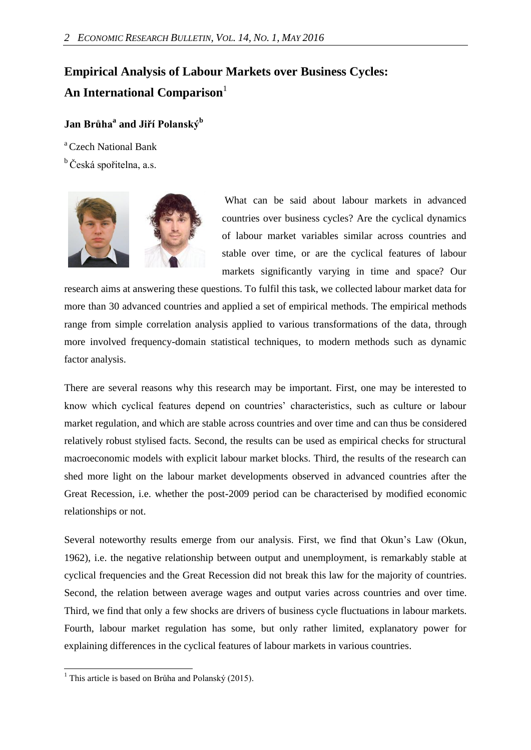# **Empirical Analysis of Labour Markets over Business Cycles: An International Comparison**

### **Jan Brůha<sup>a</sup> and Jiří Polanský<sup>b</sup>**

<sup>a</sup> Czech National Bank

<sup>b</sup> Česká spořitelna, a.s.



What can be said about labour markets in advanced countries over business cycles? Are the cyclical dynamics of labour market variables similar across countries and stable over time, or are the cyclical features of labour markets significantly varying in time and space? Our

research aims at answering these questions. To fulfil this task, we collected labour market data for more than 30 advanced countries and applied a set of empirical methods. The empirical methods range from simple correlation analysis applied to various transformations of the data, through more involved frequency-domain statistical techniques, to modern methods such as dynamic factor analysis.

There are several reasons why this research may be important. First, one may be interested to know which cyclical features depend on countries' characteristics, such as culture or labour market regulation, and which are stable across countries and over time and can thus be considered relatively robust stylised facts. Second, the results can be used as empirical checks for structural macroeconomic models with explicit labour market blocks. Third, the results of the research can shed more light on the labour market developments observed in advanced countries after the Great Recession, i.e. whether the post-2009 period can be characterised by modified economic relationships or not.

Several noteworthy results emerge from our analysis. First, we find that Okun's Law (Okun, 1962), i.e. the negative relationship between output and unemployment, is remarkably stable at cyclical frequencies and the Great Recession did not break this law for the majority of countries. Second, the relation between average wages and output varies across countries and over time. Third, we find that only a few shocks are drivers of business cycle fluctuations in labour markets. Fourth, labour market regulation has some, but only rather limited, explanatory power for explaining differences in the cyclical features of labour markets in various countries.

 $\overline{a}$ 

<sup>&</sup>lt;sup>1</sup> This article is based on Brůha and Polanský (2015).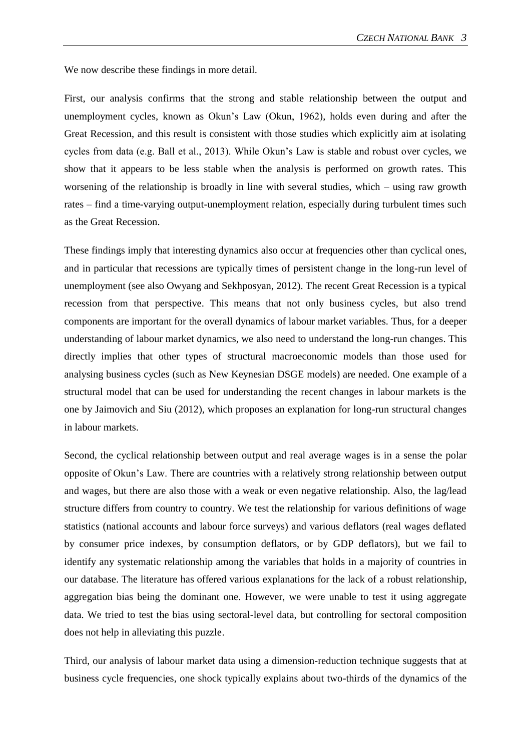We now describe these findings in more detail.

First, our analysis confirms that the strong and stable relationship between the output and unemployment cycles, known as Okun's Law (Okun, 1962), holds even during and after the Great Recession, and this result is consistent with those studies which explicitly aim at isolating cycles from data (e.g. Ball et al., 2013). While Okun's Law is stable and robust over cycles, we show that it appears to be less stable when the analysis is performed on growth rates. This worsening of the relationship is broadly in line with several studies, which – using raw growth rates – find a time-varying output-unemployment relation, especially during turbulent times such as the Great Recession.

These findings imply that interesting dynamics also occur at frequencies other than cyclical ones, and in particular that recessions are typically times of persistent change in the long-run level of unemployment (see also Owyang and Sekhposyan, 2012). The recent Great Recession is a typical recession from that perspective. This means that not only business cycles, but also trend components are important for the overall dynamics of labour market variables. Thus, for a deeper understanding of labour market dynamics, we also need to understand the long-run changes. This directly implies that other types of structural macroeconomic models than those used for analysing business cycles (such as New Keynesian DSGE models) are needed. One example of a structural model that can be used for understanding the recent changes in labour markets is the one by Jaimovich and Siu (2012), which proposes an explanation for long-run structural changes in labour markets.

Second, the cyclical relationship between output and real average wages is in a sense the polar opposite of Okun's Law. There are countries with a relatively strong relationship between output and wages, but there are also those with a weak or even negative relationship. Also, the lag/lead structure differs from country to country. We test the relationship for various definitions of wage statistics (national accounts and labour force surveys) and various deflators (real wages deflated by consumer price indexes, by consumption deflators, or by GDP deflators), but we fail to identify any systematic relationship among the variables that holds in a majority of countries in our database. The literature has offered various explanations for the lack of a robust relationship, aggregation bias being the dominant one. However, we were unable to test it using aggregate data. We tried to test the bias using sectoral-level data, but controlling for sectoral composition does not help in alleviating this puzzle.

Third, our analysis of labour market data using a dimension-reduction technique suggests that at business cycle frequencies, one shock typically explains about two-thirds of the dynamics of the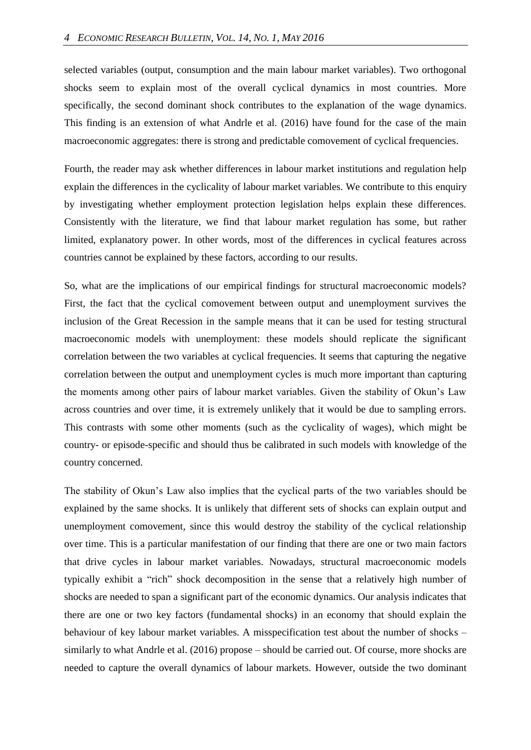selected variables (output, consumption and the main labour market variables). Two orthogonal shocks seem to explain most of the overall cyclical dynamics in most countries. More specifically, the second dominant shock contributes to the explanation of the wage dynamics. This finding is an extension of what Andrle et al. (2016) have found for the case of the main macroeconomic aggregates: there is strong and predictable comovement of cyclical frequencies.

Fourth, the reader may ask whether differences in labour market institutions and regulation help explain the differences in the cyclicality of labour market variables. We contribute to this enquiry by investigating whether employment protection legislation helps explain these differences. Consistently with the literature, we find that labour market regulation has some, but rather limited, explanatory power. In other words, most of the differences in cyclical features across countries cannot be explained by these factors, according to our results.

So, what are the implications of our empirical findings for structural macroeconomic models? First, the fact that the cyclical comovement between output and unemployment survives the inclusion of the Great Recession in the sample means that it can be used for testing structural macroeconomic models with unemployment: these models should replicate the significant correlation between the two variables at cyclical frequencies. It seems that capturing the negative correlation between the output and unemployment cycles is much more important than capturing the moments among other pairs of labour market variables. Given the stability of Okun's Law across countries and over time, it is extremely unlikely that it would be due to sampling errors. This contrasts with some other moments (such as the cyclicality of wages), which might be country- or episode-specific and should thus be calibrated in such models with knowledge of the country concerned.

The stability of Okun's Law also implies that the cyclical parts of the two variables should be explained by the same shocks. It is unlikely that different sets of shocks can explain output and unemployment comovement, since this would destroy the stability of the cyclical relationship over time. This is a particular manifestation of our finding that there are one or two main factors that drive cycles in labour market variables. Nowadays, structural macroeconomic models typically exhibit a "rich" shock decomposition in the sense that a relatively high number of shocks are needed to span a significant part of the economic dynamics. Our analysis indicates that there are one or two key factors (fundamental shocks) in an economy that should explain the behaviour of key labour market variables. A misspecification test about the number of shocks – similarly to what Andrle et al. (2016) propose – should be carried out. Of course, more shocks are needed to capture the overall dynamics of labour markets. However, outside the two dominant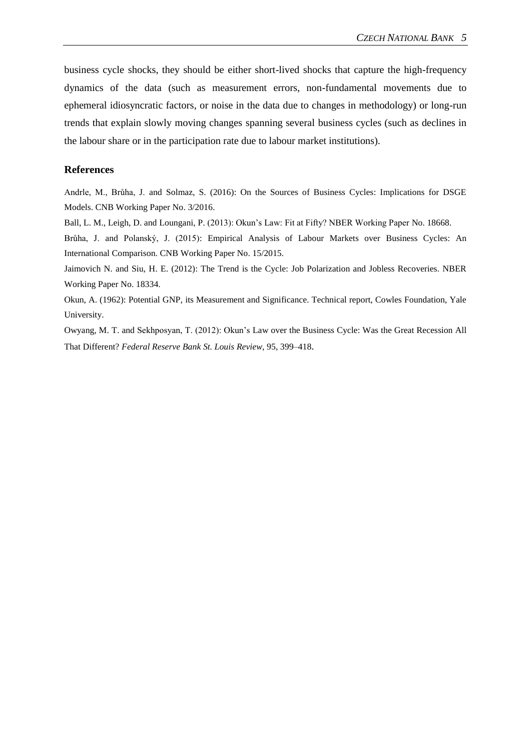business cycle shocks, they should be either short-lived shocks that capture the high-frequency dynamics of the data (such as measurement errors, non-fundamental movements due to ephemeral idiosyncratic factors, or noise in the data due to changes in methodology) or long-run trends that explain slowly moving changes spanning several business cycles (such as declines in the labour share or in the participation rate due to labour market institutions).

#### **References**

Andrle, M., Brůha, J. and Solmaz, S. (2016): On the Sources of Business Cycles: Implications for DSGE Models. CNB Working Paper No. 3/2016.

Ball, L. M., Leigh, D. and Loungani, P. (2013): Okun's Law: Fit at Fifty? NBER Working Paper No. 18668.

Brůha, J. and Polanský, J. (2015): Empirical Analysis of Labour Markets over Business Cycles: An International Comparison. CNB Working Paper No. 15/2015.

Jaimovich N. and Siu, H. E. (2012): The Trend is the Cycle: Job Polarization and Jobless Recoveries. NBER Working Paper No. 18334.

Okun, A. (1962): Potential GNP, its Measurement and Significance. Technical report, Cowles Foundation, Yale University.

Owyang, M. T. and Sekhposyan, T. (2012): Okun's Law over the Business Cycle: Was the Great Recession All That Different? *Federal Reserve Bank St. Louis Review*, 95, 399–418.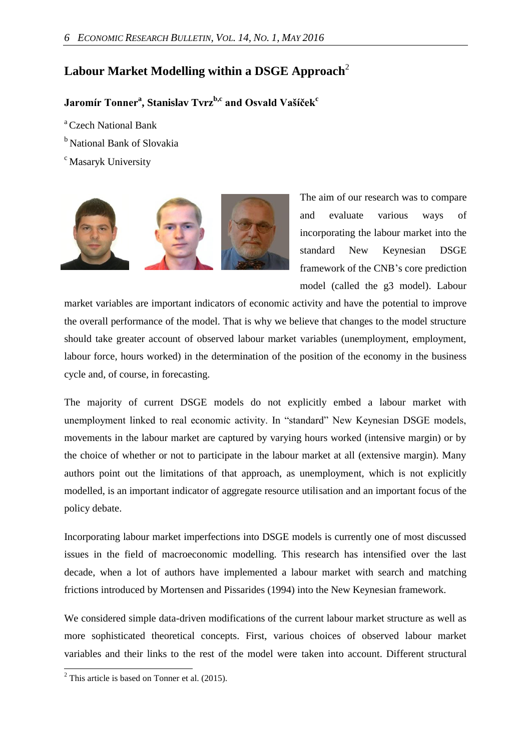## **Labour Market Modelling within a DSGE Approach**<sup>2</sup>

### **Jaromír Tonner<sup>a</sup> , Stanislav Tvrzb,c and Osvald Vašíček<sup>c</sup>**

- <sup>a</sup> Czech National Bank
- <sup>b</sup> National Bank of Slovakia
- <sup>c</sup> Masaryk University



The aim of our research was to compare and evaluate various ways of incorporating the labour market into the standard New Keynesian DSGE framework of the CNB's core prediction model (called the g3 model). Labour

market variables are important indicators of economic activity and have the potential to improve the overall performance of the model. That is why we believe that changes to the model structure should take greater account of observed labour market variables (unemployment, employment, labour force, hours worked) in the determination of the position of the economy in the business cycle and, of course, in forecasting.

The majority of current DSGE models do not explicitly embed a labour market with unemployment linked to real economic activity. In "standard" New Keynesian DSGE models, movements in the labour market are captured by varying hours worked (intensive margin) or by the choice of whether or not to participate in the labour market at all (extensive margin). Many authors point out the limitations of that approach, as unemployment, which is not explicitly modelled, is an important indicator of aggregate resource utilisation and an important focus of the policy debate.

Incorporating labour market imperfections into DSGE models is currently one of most discussed issues in the field of macroeconomic modelling. This research has intensified over the last decade, when a lot of authors have implemented a labour market with search and matching frictions introduced by Mortensen and Pissarides (1994) into the New Keynesian framework.

We considered simple data-driven modifications of the current labour market structure as well as more sophisticated theoretical concepts. First, various choices of observed labour market variables and their links to the rest of the model were taken into account. Different structural

 $\overline{a}$ 

 $2$  This article is based on Tonner et al. (2015).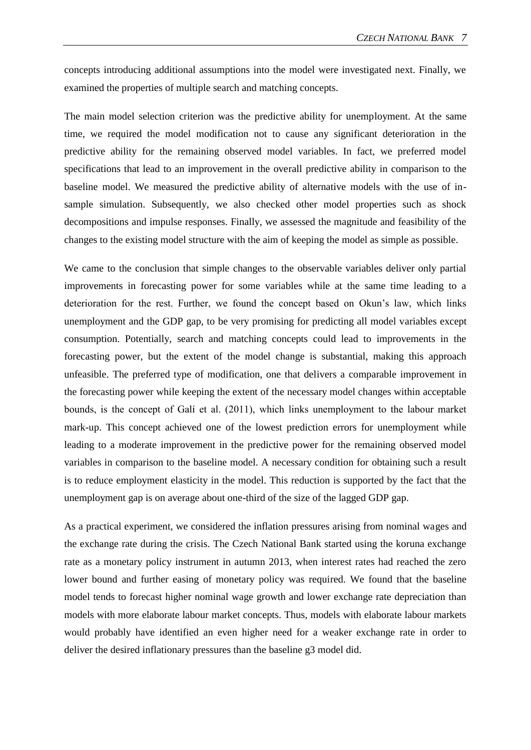concepts introducing additional assumptions into the model were investigated next. Finally, we examined the properties of multiple search and matching concepts.

The main model selection criterion was the predictive ability for unemployment. At the same time, we required the model modification not to cause any significant deterioration in the predictive ability for the remaining observed model variables. In fact, we preferred model specifications that lead to an improvement in the overall predictive ability in comparison to the baseline model. We measured the predictive ability of alternative models with the use of insample simulation. Subsequently, we also checked other model properties such as shock decompositions and impulse responses. Finally, we assessed the magnitude and feasibility of the changes to the existing model structure with the aim of keeping the model as simple as possible.

We came to the conclusion that simple changes to the observable variables deliver only partial improvements in forecasting power for some variables while at the same time leading to a deterioration for the rest. Further, we found the concept based on Okun's law, which links unemployment and the GDP gap, to be very promising for predicting all model variables except consumption. Potentially, search and matching concepts could lead to improvements in the forecasting power, but the extent of the model change is substantial, making this approach unfeasible. The preferred type of modification, one that delivers a comparable improvement in the forecasting power while keeping the extent of the necessary model changes within acceptable bounds, is the concept of Galí et al. (2011), which links unemployment to the labour market mark-up. This concept achieved one of the lowest prediction errors for unemployment while leading to a moderate improvement in the predictive power for the remaining observed model variables in comparison to the baseline model. A necessary condition for obtaining such a result is to reduce employment elasticity in the model. This reduction is supported by the fact that the unemployment gap is on average about one-third of the size of the lagged GDP gap.

As a practical experiment, we considered the inflation pressures arising from nominal wages and the exchange rate during the crisis. The Czech National Bank started using the koruna exchange rate as a monetary policy instrument in autumn 2013, when interest rates had reached the zero lower bound and further easing of monetary policy was required. We found that the baseline model tends to forecast higher nominal wage growth and lower exchange rate depreciation than models with more elaborate labour market concepts. Thus, models with elaborate labour markets would probably have identified an even higher need for a weaker exchange rate in order to deliver the desired inflationary pressures than the baseline g3 model did.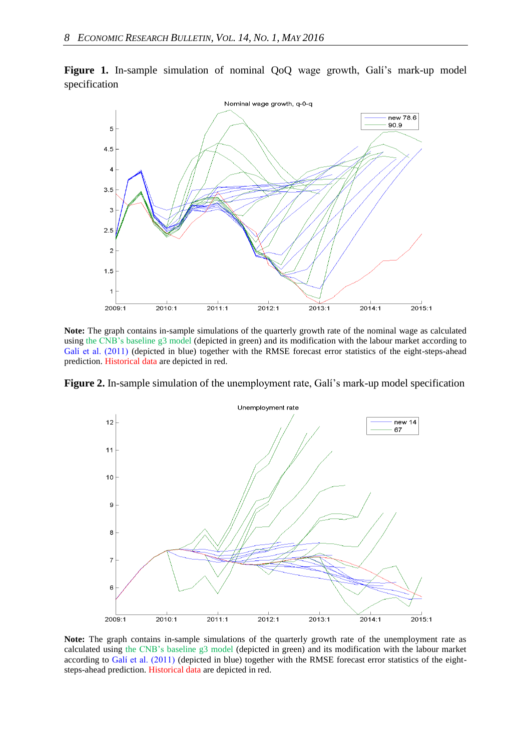

**Figure 1.** In-sample simulation of nominal QoQ wage growth, Galí's mark-up model specification

**Note:** The graph contains in-sample simulations of the quarterly growth rate of the nominal wage as calculated using the CNB's baseline g3 model (depicted in green) and its modification with the labour market according to Galí et al. (2011) (depicted in blue) together with the RMSE forecast error statistics of the eight-steps-ahead prediction. Historical data are depicted in red.

Figure 2. In-sample simulation of the unemployment rate, Galí's mark-up model specification



**Note:** The graph contains in-sample simulations of the quarterly growth rate of the unemployment rate as calculated using the CNB's baseline g3 model (depicted in green) and its modification with the labour market according to Galí et al. (2011) (depicted in blue) together with the RMSE forecast error statistics of the eightsteps-ahead prediction. Historical data are depicted in red.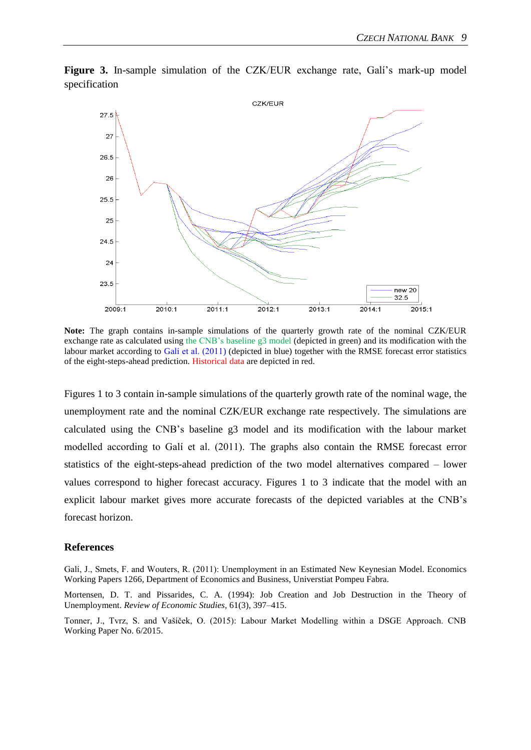

**Figure 3.** In-sample simulation of the CZK/EUR exchange rate, Galí's mark-up model specification

**Note:** The graph contains in-sample simulations of the quarterly growth rate of the nominal CZK/EUR exchange rate as calculated using the CNB's baseline g3 model (depicted in green) and its modification with the labour market according to Galí et al. (2011) (depicted in blue) together with the RMSE forecast error statistics of the eight-steps-ahead prediction. Historical data are depicted in red.

Figures 1 to 3 contain in-sample simulations of the quarterly growth rate of the nominal wage, the unemployment rate and the nominal CZK/EUR exchange rate respectively. The simulations are calculated using the CNB's baseline g3 model and its modification with the labour market modelled according to Galí et al. (2011). The graphs also contain the RMSE forecast error statistics of the eight-steps-ahead prediction of the two model alternatives compared – lower values correspond to higher forecast accuracy. Figures 1 to 3 indicate that the model with an explicit labour market gives more accurate forecasts of the depicted variables at the CNB's forecast horizon.

#### **References**

Galí, J., Smets, F. and Wouters, R. (2011): Unemployment in an Estimated New Keynesian Model. Economics Working Papers 1266, Department of Economics and Business, Universtiat Pompeu Fabra.

Mortensen, D. T. and Pissarides, C. A. (1994): Job Creation and Job Destruction in the Theory of Unemployment. *Review of Economic Studies*, 61(3), 397–415.

Tonner, J., Tvrz, S. and Vašíček, O. (2015): Labour Market Modelling within a DSGE Approach. CNB Working Paper No. 6/2015.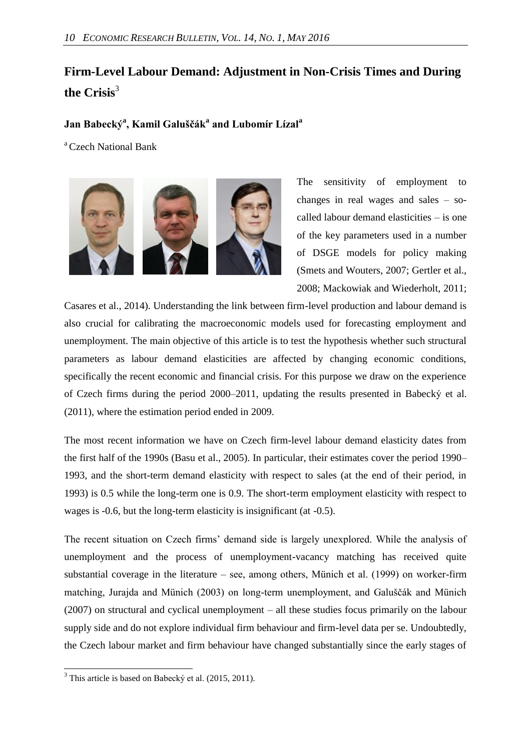# **Firm-Level Labour Demand: Adjustment in Non-Crisis Times and During the Crisis**<sup>3</sup>

### **Jan Babecký<sup>a</sup> , Kamil Galuščák<sup>a</sup> and Lubomír Lízal<sup>a</sup>**

<sup>a</sup> Czech National Bank



The sensitivity of employment to changes in real wages and sales – socalled labour demand elasticities – is one of the key parameters used in a number of DSGE models for policy making (Smets and Wouters, 2007; Gertler et al., 2008; Mackowiak and Wiederholt, 2011;

Casares et al., 2014). Understanding the link between firm-level production and labour demand is also crucial for calibrating the macroeconomic models used for forecasting employment and unemployment. The main objective of this article is to test the hypothesis whether such structural parameters as labour demand elasticities are affected by changing economic conditions, specifically the recent economic and financial crisis. For this purpose we draw on the experience of Czech firms during the period 2000–2011, updating the results presented in Babecký et al. (2011), where the estimation period ended in 2009.

The most recent information we have on Czech firm-level labour demand elasticity dates from the first half of the 1990s (Basu et al., 2005). In particular, their estimates cover the period 1990– 1993, and the short-term demand elasticity with respect to sales (at the end of their period, in 1993) is 0.5 while the long-term one is 0.9. The short-term employment elasticity with respect to wages is -0.6, but the long-term elasticity is insignificant (at -0.5).

The recent situation on Czech firms' demand side is largely unexplored. While the analysis of unemployment and the process of unemployment-vacancy matching has received quite substantial coverage in the literature – see, among others, Münich et al. (1999) on worker-firm matching, Jurajda and Münich (2003) on long-term unemployment, and Galuščák and Münich (2007) on structural and cyclical unemployment – all these studies focus primarily on the labour supply side and do not explore individual firm behaviour and firm-level data per se. Undoubtedly, the Czech labour market and firm behaviour have changed substantially since the early stages of

 $\overline{a}$ 

 $3$  This article is based on Babecký et al. (2015, 2011).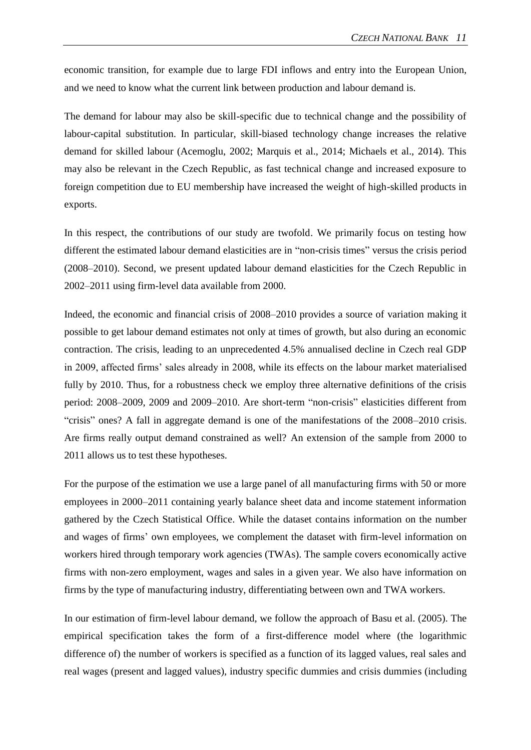economic transition, for example due to large FDI inflows and entry into the European Union, and we need to know what the current link between production and labour demand is.

The demand for labour may also be skill-specific due to technical change and the possibility of labour-capital substitution. In particular, skill-biased technology change increases the relative demand for skilled labour (Acemoglu, 2002; Marquis et al., 2014; Michaels et al., 2014). This may also be relevant in the Czech Republic, as fast technical change and increased exposure to foreign competition due to EU membership have increased the weight of high-skilled products in exports.

In this respect, the contributions of our study are twofold. We primarily focus on testing how different the estimated labour demand elasticities are in "non-crisis times" versus the crisis period (2008–2010). Second, we present updated labour demand elasticities for the Czech Republic in 2002–2011 using firm-level data available from 2000.

Indeed, the economic and financial crisis of 2008–2010 provides a source of variation making it possible to get labour demand estimates not only at times of growth, but also during an economic contraction. The crisis, leading to an unprecedented 4.5% annualised decline in Czech real GDP in 2009, affected firms' sales already in 2008, while its effects on the labour market materialised fully by 2010. Thus, for a robustness check we employ three alternative definitions of the crisis period: 2008–2009, 2009 and 2009–2010. Are short-term "non-crisis" elasticities different from "crisis" ones? A fall in aggregate demand is one of the manifestations of the 2008–2010 crisis. Are firms really output demand constrained as well? An extension of the sample from 2000 to 2011 allows us to test these hypotheses.

For the purpose of the estimation we use a large panel of all manufacturing firms with 50 or more employees in 2000–2011 containing yearly balance sheet data and income statement information gathered by the Czech Statistical Office. While the dataset contains information on the number and wages of firms' own employees, we complement the dataset with firm-level information on workers hired through temporary work agencies (TWAs). The sample covers economically active firms with non-zero employment, wages and sales in a given year. We also have information on firms by the type of manufacturing industry, differentiating between own and TWA workers.

In our estimation of firm-level labour demand, we follow the approach of Basu et al. (2005). The empirical specification takes the form of a first-difference model where (the logarithmic difference of) the number of workers is specified as a function of its lagged values, real sales and real wages (present and lagged values), industry specific dummies and crisis dummies (including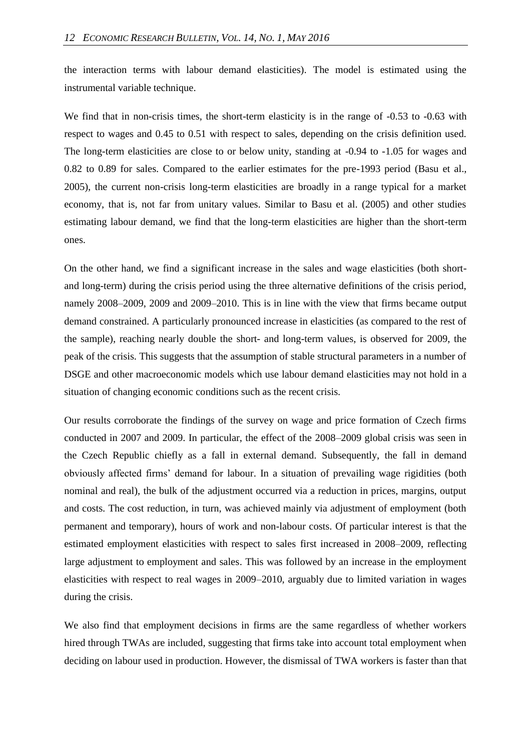the interaction terms with labour demand elasticities). The model is estimated using the instrumental variable technique.

We find that in non-crisis times, the short-term elasticity is in the range of  $-0.53$  to  $-0.63$  with respect to wages and 0.45 to 0.51 with respect to sales, depending on the crisis definition used. The long-term elasticities are close to or below unity, standing at -0.94 to -1.05 for wages and 0.82 to 0.89 for sales. Compared to the earlier estimates for the pre-1993 period (Basu et al., 2005), the current non-crisis long-term elasticities are broadly in a range typical for a market economy, that is, not far from unitary values. Similar to Basu et al. (2005) and other studies estimating labour demand, we find that the long-term elasticities are higher than the short-term ones.

On the other hand, we find a significant increase in the sales and wage elasticities (both shortand long-term) during the crisis period using the three alternative definitions of the crisis period, namely 2008–2009, 2009 and 2009–2010. This is in line with the view that firms became output demand constrained. A particularly pronounced increase in elasticities (as compared to the rest of the sample), reaching nearly double the short- and long-term values, is observed for 2009, the peak of the crisis. This suggests that the assumption of stable structural parameters in a number of DSGE and other macroeconomic models which use labour demand elasticities may not hold in a situation of changing economic conditions such as the recent crisis.

Our results corroborate the findings of the survey on wage and price formation of Czech firms conducted in 2007 and 2009. In particular, the effect of the 2008–2009 global crisis was seen in the Czech Republic chiefly as a fall in external demand. Subsequently, the fall in demand obviously affected firms' demand for labour. In a situation of prevailing wage rigidities (both nominal and real), the bulk of the adjustment occurred via a reduction in prices, margins, output and costs. The cost reduction, in turn, was achieved mainly via adjustment of employment (both permanent and temporary), hours of work and non-labour costs. Of particular interest is that the estimated employment elasticities with respect to sales first increased in 2008–2009, reflecting large adjustment to employment and sales. This was followed by an increase in the employment elasticities with respect to real wages in 2009–2010, arguably due to limited variation in wages during the crisis.

We also find that employment decisions in firms are the same regardless of whether workers hired through TWAs are included, suggesting that firms take into account total employment when deciding on labour used in production. However, the dismissal of TWA workers is faster than that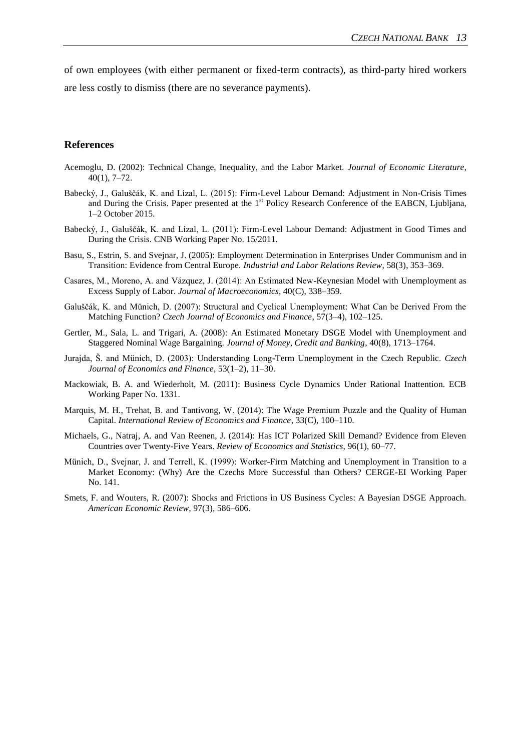of own employees (with either permanent or fixed-term contracts), as third-party hired workers are less costly to dismiss (there are no severance payments).

#### **References**

- Acemoglu, D. (2002): Technical Change, Inequality, and the Labor Market. *Journal of Economic Literature*, 40(1), 7–72.
- Babecký, J., Galuščák, K. and Lízal, L. (2015): Firm-Level Labour Demand: Adjustment in Non-Crisis Times and During the Crisis. Paper presented at the 1<sup>st</sup> Policy Research Conference of the EABCN, Ljubljana, 1–2 October 2015.
- Babecký, J., Galuščák, K. and Lízal, L. (2011): Firm-Level Labour Demand: Adjustment in Good Times and During the Crisis. CNB Working Paper No. 15/2011.
- Basu, S., Estrin, S. and Svejnar, J. (2005): Employment Determination in Enterprises Under Communism and in Transition: Evidence from Central Europe. *Industrial and Labor Relations Review*, 58(3), 353–369.
- Casares, M., Moreno, A. and Vázquez, J. (2014): An Estimated New-Keynesian Model with Unemployment as Excess Supply of Labor. *Journal of Macroeconomics*, 40(C), 338–359.
- Galuščák, K. and Münich, D. (2007): Structural and Cyclical Unemployment: What Can be Derived From the Matching Function? *Czech Journal of Economics and Finance*, 57(3–4), 102–125.
- Gertler, M., Sala, L. and Trigari, A. (2008): An Estimated Monetary DSGE Model with Unemployment and Staggered Nominal Wage Bargaining. *Journal of Money, Credit and Banking*, 40(8), 1713–1764.
- Jurajda, Š. and Münich, D. (2003): Understanding Long-Term Unemployment in the Czech Republic. *Czech Journal of Economics and Finance*, 53(1–2), 11–30.
- Mackowiak, B. A. and Wiederholt, M. (2011): Business Cycle Dynamics Under Rational Inattention. ECB Working Paper No. 1331.
- Marquis, M. H., Trehat, B. and Tantivong, W. (2014): The Wage Premium Puzzle and the Quality of Human Capital. *International Review of Economics and Finance*, 33(C), 100–110.
- Michaels, G., Natraj, A. and Van Reenen, J. (2014): Has ICT Polarized Skill Demand? Evidence from Eleven Countries over Twenty-Five Years. *Review of Economics and Statistics*, 96(1), 60–77.
- Münich, D., Svejnar, J. and Terrell, K. (1999): Worker-Firm Matching and Unemployment in Transition to a Market Economy: (Why) Are the Czechs More Successful than Others? CERGE-EI Working Paper No. 141.
- Smets, F. and Wouters, R. (2007): Shocks and Frictions in US Business Cycles: A Bayesian DSGE Approach. *American Economic Review*, 97(3), 586–606.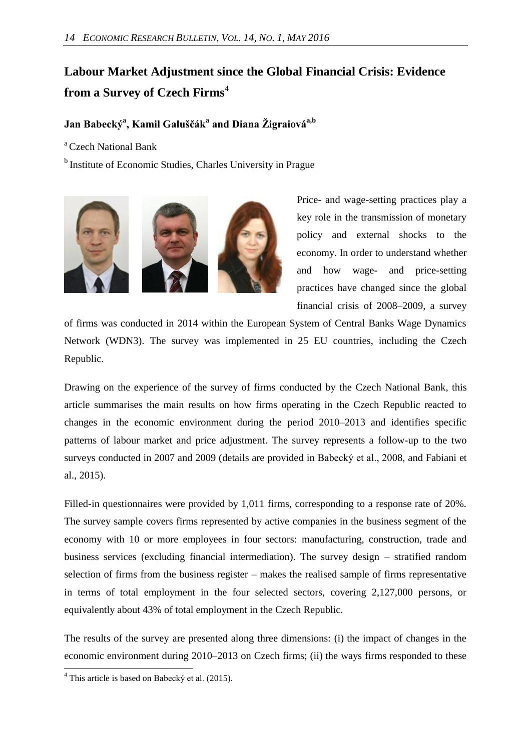# **Labour Market Adjustment since the Global Financial Crisis: Evidence from a Survey of Czech Firms**<sup>4</sup>

### **Jan Babecký<sup>a</sup> , Kamil Galuščák<sup>a</sup> and Diana Žigraiováa,b**

<sup>a</sup> Czech National Bank

<sup>b</sup> Institute of Economic Studies, Charles University in Prague



Price- and wage-setting practices play a key role in the transmission of monetary policy and external shocks to the economy. In order to understand whether and how wage- and price-setting practices have changed since the global financial crisis of 2008–2009, a survey

of firms was conducted in 2014 within the European System of Central Banks Wage Dynamics Network (WDN3). The survey was implemented in 25 EU countries, including the Czech Republic.

Drawing on the experience of the survey of firms conducted by the Czech National Bank, this article summarises the main results on how firms operating in the Czech Republic reacted to changes in the economic environment during the period 2010–2013 and identifies specific patterns of labour market and price adjustment. The survey represents a follow-up to the two surveys conducted in 2007 and 2009 (details are provided in Babecký et al., 2008, and Fabiani et al., 2015).

Filled-in questionnaires were provided by 1,011 firms, corresponding to a response rate of 20%. The survey sample covers firms represented by active companies in the business segment of the economy with 10 or more employees in four sectors: manufacturing, construction, trade and business services (excluding financial intermediation). The survey design – stratified random selection of firms from the business register – makes the realised sample of firms representative in terms of total employment in the four selected sectors, covering 2,127,000 persons, or equivalently about 43% of total employment in the Czech Republic.

The results of the survey are presented along three dimensions: (i) the impact of changes in the economic environment during 2010–2013 on Czech firms; (ii) the ways firms responded to these

 $\overline{a}$ 

 $4$  This article is based on Babecký et al. (2015).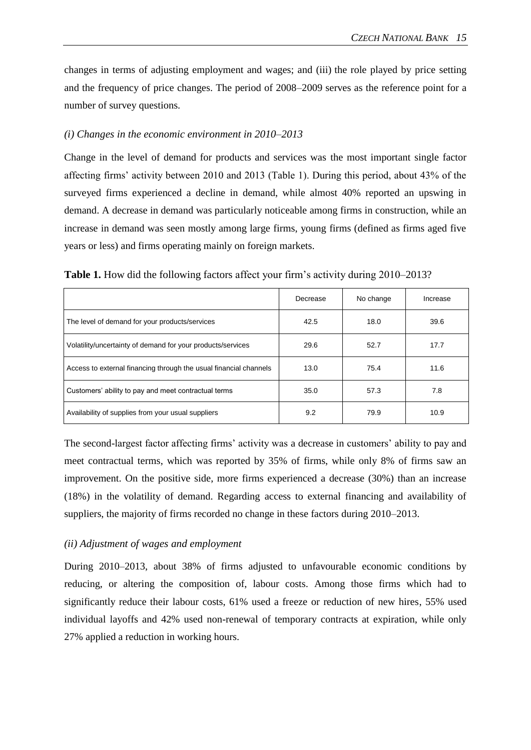changes in terms of adjusting employment and wages; and (iii) the role played by price setting and the frequency of price changes. The period of 2008–2009 serves as the reference point for a number of survey questions.

#### *(i) Changes in the economic environment in 2010–2013*

Change in the level of demand for products and services was the most important single factor affecting firms' activity between 2010 and 2013 (Table 1). During this period, about 43% of the surveyed firms experienced a decline in demand, while almost 40% reported an upswing in demand. A decrease in demand was particularly noticeable among firms in construction, while an increase in demand was seen mostly among large firms, young firms (defined as firms aged five years or less) and firms operating mainly on foreign markets.

|                                                                   | Decrease | No change | Increase |
|-------------------------------------------------------------------|----------|-----------|----------|
| The level of demand for your products/services                    | 42.5     | 18.0      | 39.6     |
| Volatility/uncertainty of demand for your products/services       | 29.6     | 52.7      | 17.7     |
| Access to external financing through the usual financial channels | 13.0     | 75.4      | 11.6     |
| Customers' ability to pay and meet contractual terms              | 35.0     | 57.3      | 7.8      |
| Availability of supplies from your usual suppliers                | 9.2      | 79.9      | 10.9     |

**Table 1.** How did the following factors affect your firm's activity during 2010–2013?

The second-largest factor affecting firms' activity was a decrease in customers' ability to pay and meet contractual terms, which was reported by 35% of firms, while only 8% of firms saw an improvement. On the positive side, more firms experienced a decrease (30%) than an increase (18%) in the volatility of demand. Regarding access to external financing and availability of suppliers, the majority of firms recorded no change in these factors during 2010–2013.

#### *(ii) Adjustment of wages and employment*

During 2010–2013, about 38% of firms adjusted to unfavourable economic conditions by reducing, or altering the composition of, labour costs. Among those firms which had to significantly reduce their labour costs, 61% used a freeze or reduction of new hires, 55% used individual layoffs and 42% used non-renewal of temporary contracts at expiration, while only 27% applied a reduction in working hours.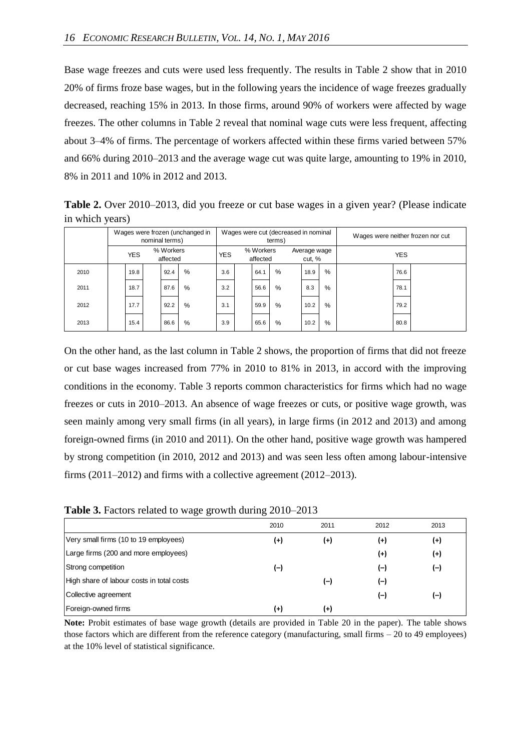Base wage freezes and cuts were used less frequently. The results in Table 2 show that in 2010 20% of firms froze base wages, but in the following years the incidence of wage freezes gradually decreased, reaching 15% in 2013. In those firms, around 90% of workers were affected by wage freezes. The other columns in Table 2 reveal that nominal wage cuts were less frequent, affecting about 3–4% of firms. The percentage of workers affected within these firms varied between 57% and 66% during 2010–2013 and the average wage cut was quite large, amounting to 19% in 2010, 8% in 2011 and 10% in 2012 and 2013.

**Table 2.** Over 2010–2013, did you freeze or cut base wages in a given year? (Please indicate in which years)

|      | Wages were frozen (unchanged in<br>nominal terms) |      |  |            |                       |     |                        | Wages were cut (decreased in nominal<br>terms) |            |      |      | Wages were neither frozen nor cut |
|------|---------------------------------------------------|------|--|------------|-----------------------|-----|------------------------|------------------------------------------------|------------|------|------|-----------------------------------|
|      | % Workers<br><b>YES</b><br>affected               |      |  | <b>YES</b> | % Workers<br>affected |     | Average wage<br>cut, % |                                                | <b>YES</b> |      |      |                                   |
| 2010 |                                                   | 19.8 |  | 92.4       | $\%$                  | 3.6 | 64.1                   | $\frac{0}{0}$                                  | 18.9       | $\%$ | 76.6 |                                   |
| 2011 |                                                   | 18.7 |  | 87.6       | $\%$                  | 3.2 | 56.6                   | %                                              | 8.3        | $\%$ | 78.1 |                                   |
| 2012 |                                                   | 17.7 |  | 92.2       | $\%$                  | 3.1 | 59.9                   | $\frac{0}{0}$                                  | 10.2       | $\%$ | 79.2 |                                   |
| 2013 |                                                   | 15.4 |  | 86.6       | $\%$                  | 3.9 | 65.6                   | $\frac{0}{0}$                                  | 10.2       | $\%$ | 80.8 |                                   |

On the other hand, as the last column in Table 2 shows, the proportion of firms that did not freeze or cut base wages increased from 77% in 2010 to 81% in 2013, in accord with the improving conditions in the economy. Table 3 reports common characteristics for firms which had no wage freezes or cuts in 2010–2013. An absence of wage freezes or cuts, or positive wage growth, was seen mainly among very small firms (in all years), in large firms (in 2012 and 2013) and among foreign-owned firms (in 2010 and 2011). On the other hand, positive wage growth was hampered by strong competition (in 2010, 2012 and 2013) and was seen less often among labour-intensive firms (2011–2012) and firms with a collective agreement (2012–2013).

| Table 3. Factors related to wage growth during 2010-2013 |  |  |  |  |  |
|----------------------------------------------------------|--|--|--|--|--|
|----------------------------------------------------------|--|--|--|--|--|

|                                           | 2010     | 2011     | 2012     | 2013  |
|-------------------------------------------|----------|----------|----------|-------|
| Very small firms (10 to 19 employees)     | $^{(+)}$ | $^{(+)}$ | $^{(+)}$ | (+)   |
| Large firms (200 and more employees)      |          |          | $^{(+)}$ | $(+)$ |
| Strong competition                        | (–)      |          | (–)      | $(-)$ |
| High share of labour costs in total costs |          | (-)      | (—)      |       |
| Collective agreement                      |          |          | (—)      | $(-)$ |
| Foreign-owned firms                       | (+)      | (+)      |          |       |

**Note:** Probit estimates of base wage growth (details are provided in Table 20 in the paper). The table shows those factors which are different from the reference category (manufacturing, small firms – 20 to 49 employees) at the 10% level of statistical significance.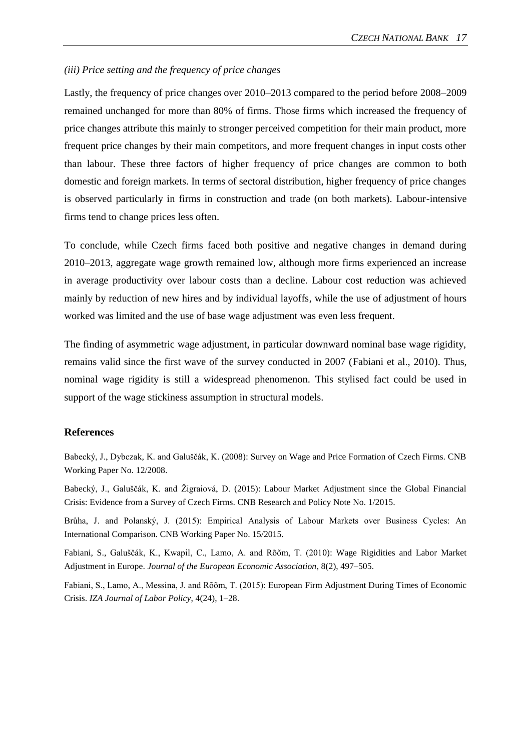#### *(iii) Price setting and the frequency of price changes*

Lastly, the frequency of price changes over 2010–2013 compared to the period before 2008–2009 remained unchanged for more than 80% of firms. Those firms which increased the frequency of price changes attribute this mainly to stronger perceived competition for their main product, more frequent price changes by their main competitors, and more frequent changes in input costs other than labour. These three factors of higher frequency of price changes are common to both domestic and foreign markets. In terms of sectoral distribution, higher frequency of price changes is observed particularly in firms in construction and trade (on both markets). Labour-intensive firms tend to change prices less often.

To conclude, while Czech firms faced both positive and negative changes in demand during 2010–2013, aggregate wage growth remained low, although more firms experienced an increase in average productivity over labour costs than a decline. Labour cost reduction was achieved mainly by reduction of new hires and by individual layoffs, while the use of adjustment of hours worked was limited and the use of base wage adjustment was even less frequent.

The finding of asymmetric wage adjustment, in particular downward nominal base wage rigidity, remains valid since the first wave of the survey conducted in 2007 (Fabiani et al., 2010). Thus, nominal wage rigidity is still a widespread phenomenon. This stylised fact could be used in support of the wage stickiness assumption in structural models.

#### **References**

Babecký, J., Dybczak, K. and Galuščák, K. (2008): Survey on Wage and Price Formation of Czech Firms. CNB Working Paper No. 12/2008.

Babecký, J., Galuščák, K. and Žigraiová, D. (2015): Labour Market Adjustment since the Global Financial Crisis: Evidence from a Survey of Czech Firms. CNB Research and Policy Note No. 1/2015.

Brůha, J. and Polanský, J. (2015): Empirical Analysis of Labour Markets over Business Cycles: An International Comparison. CNB Working Paper No. 15/2015.

Fabiani, S., Galuščák, K., Kwapil, C., Lamo, A. and Rõõm, T. (2010): Wage Rigidities and Labor Market Adjustment in Europe. *Journal of the European Economic Association*, 8(2), 497–505.

Fabiani, S., Lamo, A., Messina, J. and Rõõm, T. (2015): European Firm Adjustment During Times of Economic Crisis. *IZA Journal of Labor Policy*, 4(24), 1–28.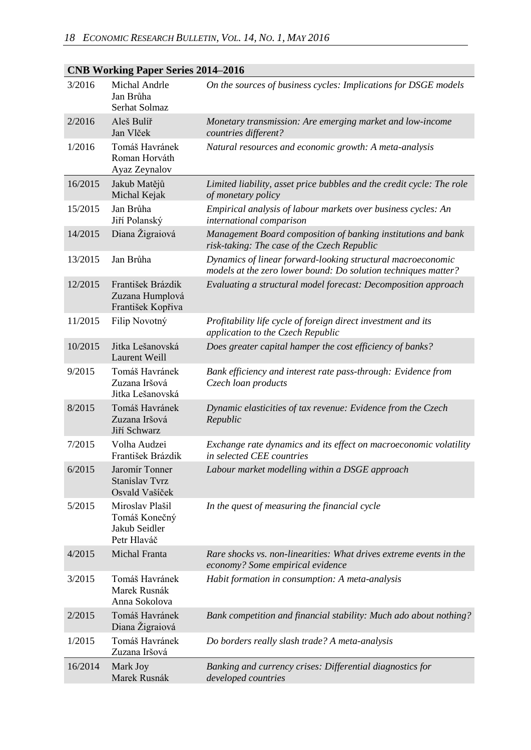|  | <b>CNB Working Paper Series 2014–2016</b> |                                                                  |                                                                                                                               |  |  |  |  |  |
|--|-------------------------------------------|------------------------------------------------------------------|-------------------------------------------------------------------------------------------------------------------------------|--|--|--|--|--|
|  | 3/2016                                    | Michal Andrle<br>Jan Brůha<br>Serhat Solmaz                      | On the sources of business cycles: Implications for DSGE models                                                               |  |  |  |  |  |
|  | 2/2016                                    | Aleš Bulíř<br>Jan Vlček                                          | Monetary transmission: Are emerging market and low-income<br>countries different?                                             |  |  |  |  |  |
|  | 1/2016                                    | Tomáš Havránek<br>Roman Horváth<br>Ayaz Zeynalov                 | Natural resources and economic growth: A meta-analysis                                                                        |  |  |  |  |  |
|  | 16/2015                                   | Jakub Matějů<br>Michal Kejak                                     | Limited liability, asset price bubbles and the credit cycle: The role<br>of monetary policy                                   |  |  |  |  |  |
|  | 15/2015                                   | Jan Brůha<br>Jiří Polanský                                       | Empirical analysis of labour markets over business cycles: An<br>international comparison                                     |  |  |  |  |  |
|  | 14/2015                                   | Diana Žigraiová                                                  | Management Board composition of banking institutions and bank<br>risk-taking: The case of the Czech Republic                  |  |  |  |  |  |
|  | 13/2015                                   | Jan Brůha                                                        | Dynamics of linear forward-looking structural macroeconomic<br>models at the zero lower bound: Do solution techniques matter? |  |  |  |  |  |
|  | 12/2015                                   | František Brázdik<br>Zuzana Humplová<br>František Kopřiva        | Evaluating a structural model forecast: Decomposition approach                                                                |  |  |  |  |  |
|  | 11/2015                                   | Filip Novotný                                                    | Profitability life cycle of foreign direct investment and its<br>application to the Czech Republic                            |  |  |  |  |  |
|  | 10/2015                                   | Jitka Lešanovská<br><b>Laurent Weill</b>                         | Does greater capital hamper the cost efficiency of banks?                                                                     |  |  |  |  |  |
|  | 9/2015                                    | Tomáš Havránek<br>Zuzana Iršová<br>Jitka Lešanovská              | Bank efficiency and interest rate pass-through: Evidence from<br>Czech loan products                                          |  |  |  |  |  |
|  | 8/2015                                    | Tomáš Havránek<br>Zuzana Iršová<br>Jiří Schwarz                  | Dynamic elasticities of tax revenue: Evidence from the Czech<br>Republic                                                      |  |  |  |  |  |
|  | 7/2015                                    | Volha Audzei<br>František Brázdik                                | Exchange rate dynamics and its effect on macroeconomic volatility<br>in selected CEE countries                                |  |  |  |  |  |
|  | 6/2015                                    | Jaromír Tonner<br><b>Stanislav Tvrz</b><br>Osvald Vašíček        | Labour market modelling within a DSGE approach                                                                                |  |  |  |  |  |
|  | 5/2015                                    | Miroslav Plašil<br>Tomáš Konečný<br>Jakub Seidler<br>Petr Hlaváč | In the quest of measuring the financial cycle                                                                                 |  |  |  |  |  |
|  | 4/2015                                    | Michal Franta                                                    | Rare shocks vs. non-linearities: What drives extreme events in the<br>economy? Some empirical evidence                        |  |  |  |  |  |
|  | 3/2015                                    | Tomáš Havránek<br>Marek Rusnák<br>Anna Sokolova                  | Habit formation in consumption: A meta-analysis                                                                               |  |  |  |  |  |
|  | 2/2015                                    | Tomáš Havránek<br>Diana Žigraiová                                | Bank competition and financial stability: Much ado about nothing?                                                             |  |  |  |  |  |
|  | 1/2015                                    | Tomáš Havránek<br>Zuzana Iršová                                  | Do borders really slash trade? A meta-analysis                                                                                |  |  |  |  |  |
|  | 16/2014                                   | Mark Joy<br>Marek Rusnák                                         | Banking and currency crises: Differential diagnostics for<br>developed countries                                              |  |  |  |  |  |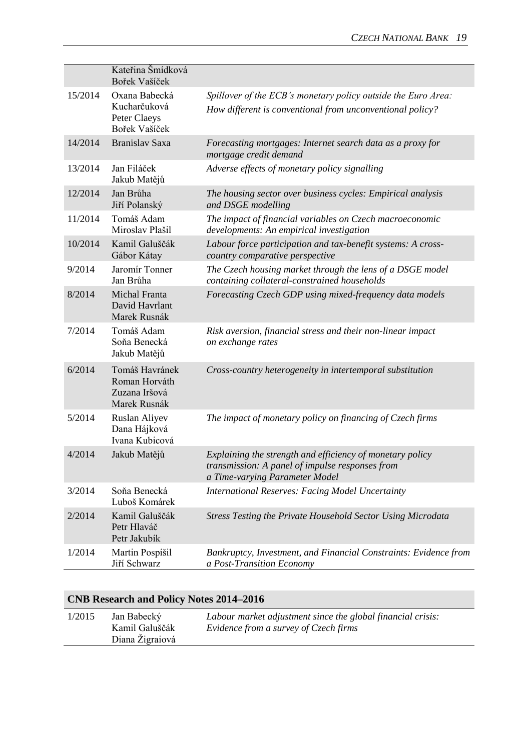|         | Kateřina Šmídková<br>Bořek Vašíček                               |                                                                                                                                                |
|---------|------------------------------------------------------------------|------------------------------------------------------------------------------------------------------------------------------------------------|
| 15/2014 | Oxana Babecká<br>Kucharčuková<br>Peter Claeys<br>Bořek Vašíček   | Spillover of the ECB's monetary policy outside the Euro Area:<br>How different is conventional from unconventional policy?                     |
| 14/2014 | Branislav Saxa                                                   | Forecasting mortgages: Internet search data as a proxy for<br>mortgage credit demand                                                           |
| 13/2014 | Jan Filáček<br>Jakub Matějů                                      | Adverse effects of monetary policy signalling                                                                                                  |
| 12/2014 | Jan Brůha<br>Jiří Polanský                                       | The housing sector over business cycles: Empirical analysis<br>and DSGE modelling                                                              |
| 11/2014 | Tomáš Adam<br>Miroslav Plašil                                    | The impact of financial variables on Czech macroeconomic<br>developments: An empirical investigation                                           |
| 10/2014 | Kamil Galuščák<br>Gábor Kátay                                    | Labour force participation and tax-benefit systems: A cross-<br>country comparative perspective                                                |
| 9/2014  | Jaromír Tonner<br>Jan Brůha                                      | The Czech housing market through the lens of a DSGE model<br>containing collateral-constrained households                                      |
| 8/2014  | Michal Franta<br>David Havrlant<br>Marek Rusnák                  | Forecasting Czech GDP using mixed-frequency data models                                                                                        |
| 7/2014  | Tomáš Adam<br>Soňa Benecká<br>Jakub Matějů                       | Risk aversion, financial stress and their non-linear impact<br>on exchange rates                                                               |
| 6/2014  | Tomáš Havránek<br>Roman Horváth<br>Zuzana Iršová<br>Marek Rusnák | Cross-country heterogeneity in intertemporal substitution                                                                                      |
| 5/2014  | Ruslan Aliyev<br>Dana Hájková<br>Ivana Kubicová                  | The impact of monetary policy on financing of Czech firms                                                                                      |
| 4/2014  | Jakub Matějů                                                     | Explaining the strength and efficiency of monetary policy<br>transmission: A panel of impulse responses from<br>a Time-varying Parameter Model |
| 3/2014  | Soňa Benecká<br>Luboš Komárek                                    | <b>International Reserves: Facing Model Uncertainty</b>                                                                                        |
| 2/2014  | Kamil Galuščák<br>Petr Hlaváč<br>Petr Jakubík                    | Stress Testing the Private Household Sector Using Microdata                                                                                    |
| 1/2014  | Martin Pospíšil<br>Jiří Schwarz                                  | Bankruptcy, Investment, and Financial Constraints: Evidence from<br>a Post-Transition Economy                                                  |

| 1/2015 | Jan Babecký<br>Kamil Galuščák | Labour market adjustment since the global financial crisis:<br>Evidence from a survey of Czech firms |
|--------|-------------------------------|------------------------------------------------------------------------------------------------------|
|        | Diana Žigraiová               |                                                                                                      |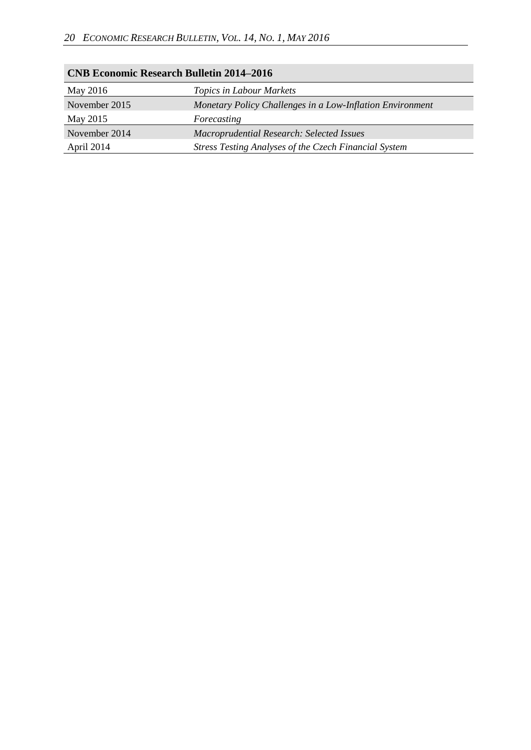| <b>CNB Economic Research Bulletin 2014–2016</b> |                                                              |  |  |
|-------------------------------------------------|--------------------------------------------------------------|--|--|
| May 2016                                        | Topics in Labour Markets                                     |  |  |
| November 2015                                   | Monetary Policy Challenges in a Low-Inflation Environment    |  |  |
| May 2015                                        | Forecasting                                                  |  |  |
| November 2014                                   | Macroprudential Research: Selected Issues                    |  |  |
| April 2014                                      | <b>Stress Testing Analyses of the Czech Financial System</b> |  |  |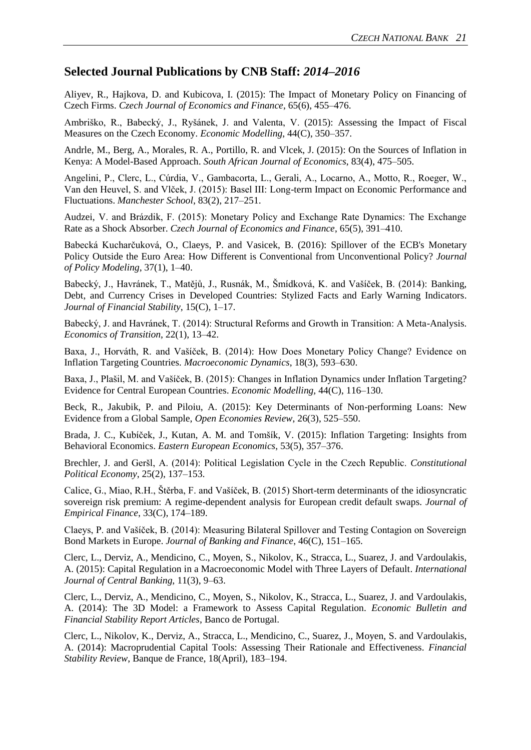### **Selected Journal Publications by CNB Staff:** *2014–2016*

Aliyev, R., Hajkova, D. and Kubicova, I. (2015): The Impact of Monetary Policy on Financing of Czech Firms. *Czech Journal of Economics and Finance*, 65(6), 455–476.

Ambriško, R., Babecký, J., Ryšánek, J. and Valenta, V. (2015): Assessing the Impact of Fiscal Measures on the Czech Economy. *Economic Modelling*, 44(C), 350–357.

Andrle, M., Berg, A., Morales, R. A., Portillo, R. and Vlcek, J. (2015): On the Sources of Inflation in Kenya: A Model-Based Approach. *South African Journal of Economics*, 83(4), 475–505.

Angelini, P., Clerc, L., Cúrdia, V., Gambacorta, L., Gerali, A., Locarno, A., Motto, R., Roeger, W., Van den Heuvel, S. and Vlček, J. (2015): Basel III: Long-term Impact on Economic Performance and Fluctuations. *Manchester School*, 83(2), 217–251.

Audzei, V. and Brázdik, F. (2015): Monetary Policy and Exchange Rate Dynamics: The Exchange Rate as a Shock Absorber. *Czech Journal of Economics and Finance*, 65(5), 391–410.

Babecká Kucharčuková, O., Claeys, P. and Vasicek, B. (2016): Spillover of the ECB's Monetary Policy Outside the Euro Area: How Different is Conventional from Unconventional Policy? *Journal of Policy Modeling*, 37(1), 1–40.

Babecký, J., Havránek, T., Matějů, J., Rusnák, M., Šmídková, K. and Vašíček, B. (2014): Banking, Debt, and Currency Crises in Developed Countries: Stylized Facts and Early Warning Indicators. *Journal of Financial Stability*, 15(C), 1–17.

Babecký, J. and Havránek, T. (2014): Structural Reforms and Growth in Transition: A Meta-Analysis. *Economics of Transition*, 22(1), 13–42.

Baxa, J., Horváth, R. and Vašíček, B. (2014): How Does Monetary Policy Change? Evidence on Inflation Targeting Countries. *Macroeconomic Dynamics*, 18(3), 593–630.

Baxa, J., Plašil, M. and Vašíček, B. (2015): Changes in Inflation Dynamics under Inflation Targeting? Evidence for Central European Countries. *Economic Modelling,* 44(C), 116–130.

Beck, R., Jakubik, P. and Piloiu, A. (2015): Key Determinants of Non-performing Loans: New Evidence from a Global Sample, *Open Economies Review*, 26(3), 525–550.

Brada, J. C., Kubíček, J., Kutan, A. M. and Tomšík, V. (2015): Inflation Targeting: Insights from Behavioral Economics. *Eastern European Economics*, 53(5), 357–376.

Brechler, J. and Geršl, A. (2014): Political Legislation Cycle in the Czech Republic. *Constitutional Political Economy*, 25(2), 137–153.

Calice, G., Miao, R.H., Štěrba, F. and Vašíček, B. (2015) Short-term determinants of the idiosyncratic sovereign risk premium: A regime-dependent analysis for European credit default swaps. *Journal of Empirical Finance*, 33(C), 174–189.

Claeys, P. and Vašíček, B. (2014): Measuring Bilateral Spillover and Testing Contagion on Sovereign Bond Markets in Europe. *Journal of Banking and Finance*, 46(C), 151–165.

Clerc, L., Derviz, A., Mendicino, C., Moyen, S., Nikolov, K., Stracca, L., Suarez, J. and Vardoulakis, A. (2015): Capital Regulation in a Macroeconomic Model with Three Layers of Default. *International Journal of Central Banking*, 11(3), 9–63.

Clerc, L., Derviz, A., Mendicino, C., Moyen, S., Nikolov, K., Stracca, L., Suarez, J. and Vardoulakis, A. (2014): The 3D Model: a Framework to Assess Capital Regulation. *Economic Bulletin and Financial Stability Report Articles*, Banco de Portugal.

Clerc, L., Nikolov, K., Derviz, A., Stracca, L., Mendicino, C., Suarez, J., Moyen, S. and Vardoulakis, A. (2014): Macroprudential Capital Tools: Assessing Their Rationale and Effectiveness. *Financial Stability Review*, Banque de France, 18(April), 183–194.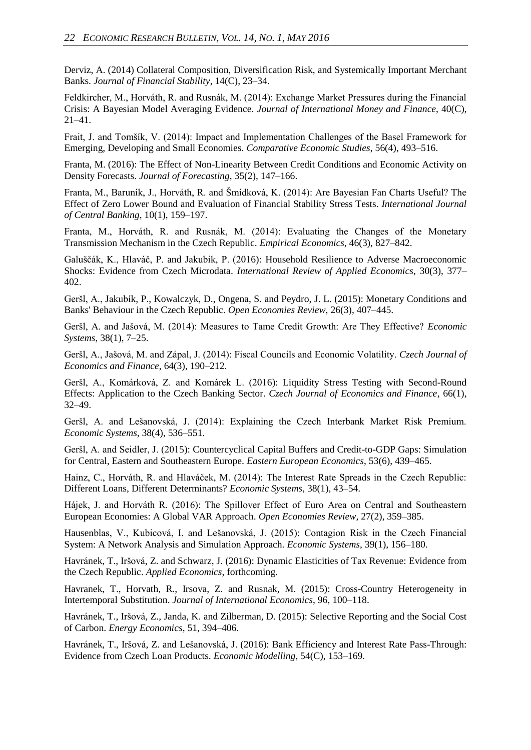Derviz, A. (2014) Collateral Composition, Diversification Risk, and Systemically Important Merchant Banks. *Journal of Financial Stability*, 14(C), 23–34.

Feldkircher, M., Horváth, R. and Rusnák, M. (2014): Exchange Market Pressures during the Financial Crisis: A Bayesian Model Averaging Evidence. *Journal of International Money and Finance*, 40(C), 21–41.

Frait, J. and Tomšík, V. (2014): Impact and Implementation Challenges of the Basel Framework for Emerging, Developing and Small Economies. *Comparative Economic Studies*, 56(4), 493–516.

Franta, M. (2016): The Effect of Non-Linearity Between Credit Conditions and Economic Activity on Density Forecasts. *Journal of Forecasting*, 35(2), 147–166.

Franta, M., Baruník, J., Horváth, R. and Šmídková, K. (2014): Are Bayesian Fan Charts Useful? The Effect of Zero Lower Bound and Evaluation of Financial Stability Stress Tests. *International Journal of Central Banking*, 10(1), 159–197.

Franta, M., Horváth, R. and Rusnák, M. (2014): Evaluating the Changes of the Monetary Transmission Mechanism in the Czech Republic. *Empirical Economics*, 46(3), 827–842.

Galuščák, K., Hlaváč, P. and Jakubík, P. (2016): Household Resilience to Adverse Macroeconomic Shocks: Evidence from Czech Microdata. *International Review of Applied Economics*, 30(3), 377– 402.

Geršl, A., Jakubík, P., Kowalczyk, D., Ongena, S. and Peydro, J. L. (2015): Monetary Conditions and Banks' Behaviour in the Czech Republic. *Open Economies Review*, 26(3), 407–445.

Geršl, A. and Jašová, M. (2014): Measures to Tame Credit Growth: Are They Effective? *Economic Systems*, 38(1), 7–25.

Geršl, A., Jašová, M. and Zápal, J. (2014): Fiscal Councils and Economic Volatility. *Czech Journal of Economics and Finance*, 64(3), 190–212.

Geršl, A., Komárková, Z. and Komárek L. (2016): Liquidity Stress Testing with Second-Round Effects: Application to the Czech Banking Sector. *Czech Journal of Economics and Finance*, 66(1), 32–49.

Geršl, A. and Lešanovská, J. (2014): Explaining the Czech Interbank Market Risk Premium. *Economic Systems*, 38(4), 536–551.

Geršl, A. and Seidler, J. (2015): Countercyclical Capital Buffers and Credit-to-GDP Gaps: Simulation for Central, Eastern and Southeastern Europe. *Eastern European Economics*, 53(6), 439–465.

Hainz, C., Horváth, R. and Hlaváček, M. (2014): The Interest Rate Spreads in the Czech Republic: Different Loans, Different Determinants? *Economic Systems*, 38(1), 43–54.

Hájek, J. and Horváth R. (2016): The Spillover Effect of Euro Area on Central and Southeastern European Economies: A Global VAR Approach. *Open Economies Review*, 27(2), 359–385.

Hausenblas, V., Kubicová, I. and Lešanovská, J. (2015): Contagion Risk in the Czech Financial System: A Network Analysis and Simulation Approach. *Economic Systems*, 39(1), 156–180.

Havránek, T., Iršová, Z. and Schwarz, J. (2016): Dynamic Elasticities of Tax Revenue: Evidence from the Czech Republic. *Applied Economics*, forthcoming.

Havranek, T., Horvath, R., Irsova, Z. and Rusnak, M. (2015): Cross-Country Heterogeneity in Intertemporal Substitution. *Journal of International Economics*, 96, 100–118.

Havránek, T., Iršová, Z., Janda, K. and Zilberman, D. (2015): Selective Reporting and the Social Cost of Carbon. *Energy Economics*, 51, 394–406.

Havránek, T., Iršová, Z. and Lešanovská, J. (2016): Bank Efficiency and Interest Rate Pass-Through: Evidence from Czech Loan Products. *Economic Modelling*, 54(C), 153–169.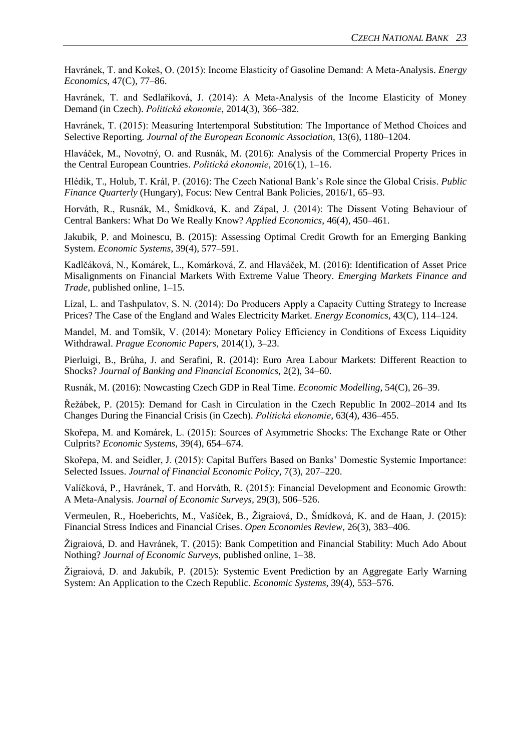Havránek, T. and Kokeš, O. (2015): Income Elasticity of Gasoline Demand: A Meta-Analysis. *Energy Economics,* 47(C), 77–86.

Havránek, T. and Sedlaříková, J. (2014): A Meta-Analysis of the Income Elasticity of Money Demand (in Czech). *Politická ekonomie*, 2014(3), 366–382.

Havránek, T. (2015): Measuring Intertemporal Substitution: The Importance of Method Choices and Selective Reporting. *Journal of the European Economic Association*, 13(6), 1180–1204.

Hlaváček, M., Novotný, O. and Rusnák, M. (2016): Analysis of the Commercial Property Prices in the Central European Countries. *Politická ekonomie*, 2016(1), 1–16.

Hlédik, T., Holub, T. Král, P. (2016): The Czech National Bank's Role since the Global Crisis. *Public Finance Quarterly* (Hungary), Focus: New Central Bank Policies, 2016/1, 65–93.

Horváth, R., Rusnák, M., Šmídková, K. and Zápal, J. (2014): The Dissent Voting Behaviour of Central Bankers: What Do We Really Know? *Applied Economics*, 46(4), 450–461.

Jakubik, P. and Moinescu, B. (2015): Assessing Optimal Credit Growth for an Emerging Banking System. *Economic Systems*, 39(4), 577–591.

Kadlčáková, N., Komárek, L., Komárková, Z. and Hlaváček, M. (2016): Identification of Asset Price Misalignments on Financial Markets With Extreme Value Theory. *Emerging Markets Finance and Trade*, published online, 1–15.

Lízal, L. and Tashpulatov, S. N. (2014): Do Producers Apply a Capacity Cutting Strategy to Increase Prices? The Case of the England and Wales Electricity Market. *Energy Economics*, 43(C), 114–124.

Mandel, M. and Tomšík, V. (2014): Monetary Policy Efficiency in Conditions of Excess Liquidity Withdrawal. *Prague Economic Papers*, 2014(1), 3–23.

Pierluigi, B., Brůha, J. and Serafini, R. (2014): Euro Area Labour Markets: Different Reaction to Shocks? *Journal of Banking and Financial Economics*, 2(2), 34–60.

Rusnák, M. (2016): Nowcasting Czech GDP in Real Time. *Economic Modelling*, 54(C), 26–39.

Řežábek, P. (2015): Demand for Cash in Circulation in the Czech Republic In 2002–2014 and Its Changes During the Financial Crisis (in Czech). *Politická ekonomie*, 63(4), 436–455.

Skořepa, M. and Komárek, L. (2015): Sources of Asymmetric Shocks: The Exchange Rate or Other Culprits? *Economic Systems*, 39(4), 654–674.

Skořepa, M. and Seidler, J. (2015): Capital Buffers Based on Banks' Domestic Systemic Importance: Selected Issues. *Journal of Financial Economic Policy*, 7(3), 207–220.

Valíčková, P., Havránek, T. and Horváth, R. (2015): Financial Development and Economic Growth: A Meta-Analysis. *Journal of Economic Surveys*, 29(3), 506–526.

Vermeulen, R., Hoeberichts, M., Vašíček, B., Žigraiová, D., Šmídková, K. and de Haan, J. (2015): Financial Stress Indices and Financial Crises. *Open Economies Review*, 26(3), 383–406.

Žigraiová, D. and Havránek, T. (2015): Bank Competition and Financial Stability: Much Ado About Nothing? *Journal of Economic Surveys*, published online, 1–38.

Žigraiová, D. and Jakubík, P. (2015): Systemic Event Prediction by an Aggregate Early Warning System: An Application to the Czech Republic. *Economic Systems*, 39(4), 553–576.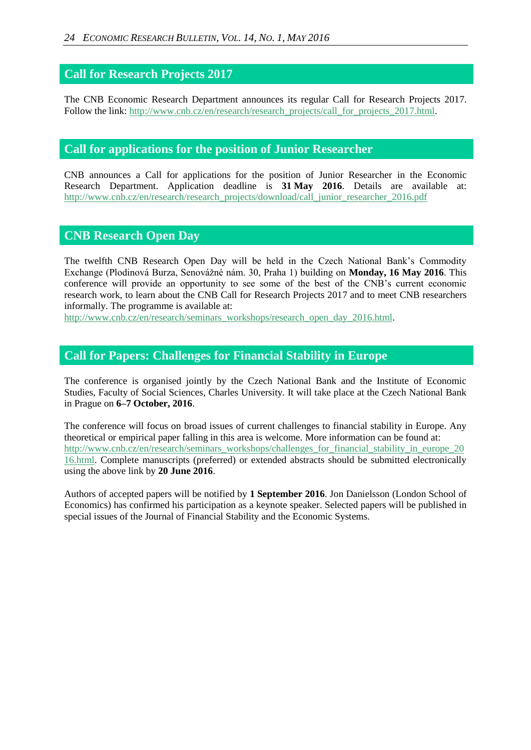### **Call for Research Projects 2017**

The CNB Economic Research Department announces its regular Call for Research Projects 2017. Follow the link: [http://www.cnb.cz/en/research/research\\_projects/call\\_for\\_projects\\_2017.html.](http://www.cnb.cz/en/research/research_projects/call_for_projects_2017.html)

### **Call for applications for the position of Junior Researcher**

CNB announces a Call for applications for the position of Junior Researcher in the Economic Research Department. Application deadline is **31 May 2016**. Details are available at: [http://www.cnb.cz/en/research/research\\_projects/download/call\\_junior\\_researcher\\_2016.pdf](http://www.cnb.cz/en/research/research_projects/download/call_junior_researcher_2016.pdf)

### **CNB Research Open Day**

The twelfth CNB Research Open Day will be held in the Czech National Bank's Commodity Exchange (Plodinová Burza, Senovážné nám. 30, Praha 1) building on **Monday, 16 May 2016**. This conference will provide an opportunity to see some of the best of the CNB's current economic research work, to learn about the CNB Call for Research Projects 2017 and to meet CNB researchers informally. The programme is available at:

[http://www.cnb.cz/en/research/seminars\\_workshops/research\\_open\\_day\\_2016.html.](http://www.cnb.cz/en/research/seminars_workshops/research_open_day_2016.html)

### **Call for Papers: Challenges for Financial Stability in Europe**

The conference is organised jointly by the Czech National Bank and the Institute of Economic Studies, Faculty of Social Sciences, Charles University. It will take place at the Czech National Bank in Prague on **6–7 October, 2016**.

The conference will focus on broad issues of current challenges to financial stability in Europe. Any theoretical or empirical paper falling in this area is welcome. More information can be found at: [http://www.cnb.cz/en/research/seminars\\_workshops/challenges\\_for\\_financial\\_stability\\_in\\_europe\\_20](http://www.cnb.cz/en/research/seminars_workshops/challenges_for_financial_stability_in_europe_2016.html) [16.html.](http://www.cnb.cz/en/research/seminars_workshops/challenges_for_financial_stability_in_europe_2016.html) Complete manuscripts (preferred) or extended abstracts should be submitted electronically using the above link by **20 June 2016**.

Authors of accepted papers will be notified by **1 September 2016**. Jon Danielsson (London School of Economics) has confirmed his participation as a keynote speaker. Selected papers will be published in special issues of the Journal of Financial Stability and the Economic Systems.